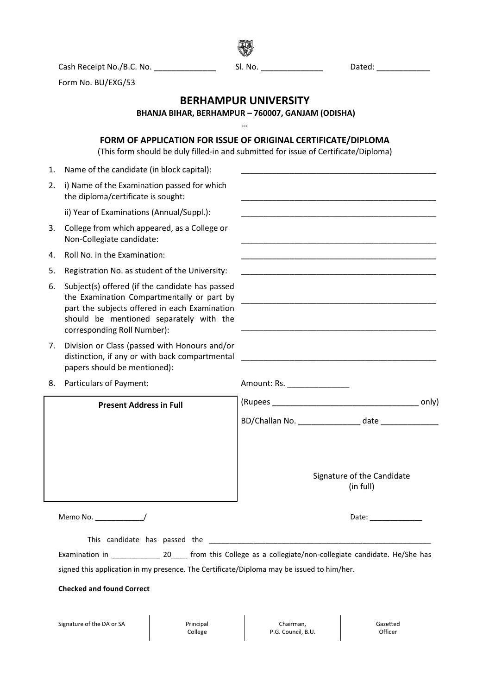**BERHAMPUR UNIVERSITY BHANJA BIHAR, BERHAMPUR – 760007, GANJAM (ODISHA)** … **FORM OF APPLICATION FOR ISSUE OF ORIGINAL CERTIFICATE/DIPLOMA** (This form should be duly filled-in and submitted for issue of Certificate/Diploma) 1. Name of the candidate (in block capital): 2. i) Name of the Examination passed for which the diploma/certificate is sought: ii) Year of Examinations (Annual/Suppl.): 3. College from which appeared, as a College or Non-Collegiate candidate: 4. Roll No. in the Examination: 5. Registration No. as student of the University: 6. Subject(s) offered (if the candidate has passed the Examination Compartmentally or part by part the subjects offered in each Examination should be mentioned separately with the corresponding Roll Number): \_\_\_\_\_\_\_\_\_\_\_\_\_\_\_\_\_\_\_\_\_\_\_\_\_\_\_\_\_\_\_\_\_\_\_\_\_\_\_\_\_\_\_\_ \_\_\_\_\_\_\_\_\_\_\_\_\_\_\_\_\_\_\_\_\_\_\_\_\_\_\_\_\_\_\_\_\_\_\_\_\_\_\_\_\_\_\_\_ 7. Division or Class (passed with Honours and/or distinction, if any or with back compartmental papers should be mentioned): \_\_\_\_\_\_\_\_\_\_\_\_\_\_\_\_\_\_\_\_\_\_\_\_\_\_\_\_\_\_\_\_\_\_\_\_\_\_\_\_\_\_\_\_ 8. Particulars of Payment: Amount: Rs. \_\_\_\_\_\_\_\_\_\_\_\_\_\_ (Rupees \_\_\_\_\_\_\_\_\_\_\_\_\_\_\_\_\_\_\_\_\_\_\_\_\_\_\_\_\_\_\_\_\_ only) BD/Challan No. \_\_\_\_\_\_\_\_\_\_\_\_\_\_ date \_\_\_\_\_\_\_\_\_\_\_\_\_ Signature of the Candidate (in full) Memo No. \_\_\_\_\_\_\_\_\_\_\_\_/ Date: \_\_\_\_\_\_\_\_\_\_\_\_\_ This candidate has passed the \_\_\_\_\_\_\_\_\_\_\_\_\_\_\_\_\_\_\_\_\_\_\_\_\_\_\_\_\_\_\_\_\_\_\_\_\_\_\_\_\_\_\_\_\_\_\_\_\_\_\_\_\_\_\_ Examination in \_\_\_\_\_\_\_\_\_\_\_\_\_ 20\_\_\_\_ from this College as a collegiate/non-collegiate candidate. He/She has signed this application in my presence. The Certificate/Diploma may be issued to him/her. **Checked and found Correct** Signature of the DA or SA Principal College Chairman, P.G. Council, B.U. Gazetted **Officer Present Address in Full**

Cash Receipt No./B.C. No. \_\_\_\_\_\_\_\_\_\_\_\_\_\_ Sl. No. \_\_\_\_\_\_\_\_\_\_\_\_\_\_ Dated: \_\_\_\_\_\_\_\_\_\_\_\_

Form No. BU/EXG/53